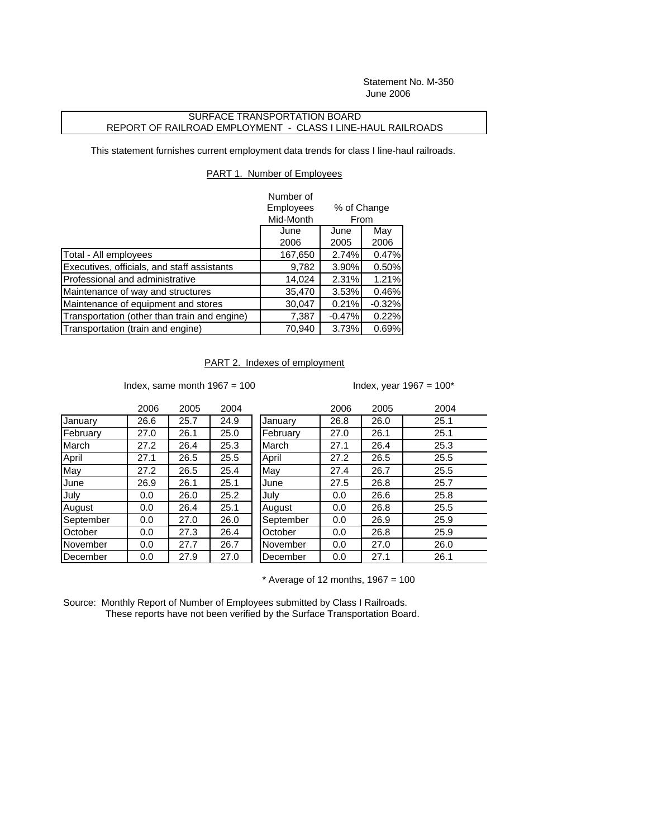Statement No. M-350 June 2006

## SURFACE TRANSPORTATION BOARD REPORT OF RAILROAD EMPLOYMENT - CLASS I LINE-HAUL RAILROADS

This statement furnishes current employment data trends for class I line-haul railroads.

## PART 1. Number of Employees

|                                              | Number of<br>Employees | % of Change<br>From |          |  |
|----------------------------------------------|------------------------|---------------------|----------|--|
|                                              | Mid-Month              |                     |          |  |
|                                              | June                   | June                | May      |  |
|                                              | 2006                   | 2005                | 2006     |  |
| Total - All employees                        | 167,650                | 2.74%               | 0.47%    |  |
| Executives, officials, and staff assistants  | 9,782                  | 3.90%               | 0.50%    |  |
| Professional and administrative              | 14,024                 | 2.31%               | 1.21%    |  |
| Maintenance of way and structures            | 35,470                 | 3.53%               | 0.46%    |  |
| Maintenance of equipment and stores          | 30,047                 | 0.21%               | $-0.32%$ |  |
| Transportation (other than train and engine) | 7,387                  | $-0.47%$            | 0.22%    |  |
| Transportation (train and engine)            | 70,940                 | 3.73%               | 0.69%    |  |

PART 2. Indexes of employment

Index, same month  $1967 = 100$  Index, year  $1967 = 100^*$ 

|                 | 2006 | 2005 | 2004 |           | 2006 | 2005 | 2004 |
|-----------------|------|------|------|-----------|------|------|------|
| January         | 26.6 | 25.7 | 24.9 | January   | 26.8 | 26.0 | 25.1 |
| February        | 27.0 | 26.1 | 25.0 | February  | 27.0 | 26.1 | 25.1 |
| March           | 27.2 | 26.4 | 25.3 | March     | 27.1 | 26.4 | 25.3 |
| April           | 27.1 | 26.5 | 25.5 | April     | 27.2 | 26.5 | 25.5 |
| May             | 27.2 | 26.5 | 25.4 | May       | 27.4 | 26.7 | 25.5 |
| June            | 26.9 | 26.1 | 25.1 | June      | 27.5 | 26.8 | 25.7 |
| July            | 0.0  | 26.0 | 25.2 | July      | 0.0  | 26.6 | 25.8 |
| August          | 0.0  | 26.4 | 25.1 | August    | 0.0  | 26.8 | 25.5 |
| September       | 0.0  | 27.0 | 26.0 | September | 0.0  | 26.9 | 25.9 |
| October         | 0.0  | 27.3 | 26.4 | October   | 0.0  | 26.8 | 25.9 |
| <b>November</b> | 0.0  | 27.7 | 26.7 | November  | 0.0  | 27.0 | 26.0 |
| December        | 0.0  | 27.9 | 27.0 | December  | 0.0  | 27.1 | 26.1 |

 $*$  Average of 12 months, 1967 = 100

Source: Monthly Report of Number of Employees submitted by Class I Railroads. These reports have not been verified by the Surface Transportation Board.